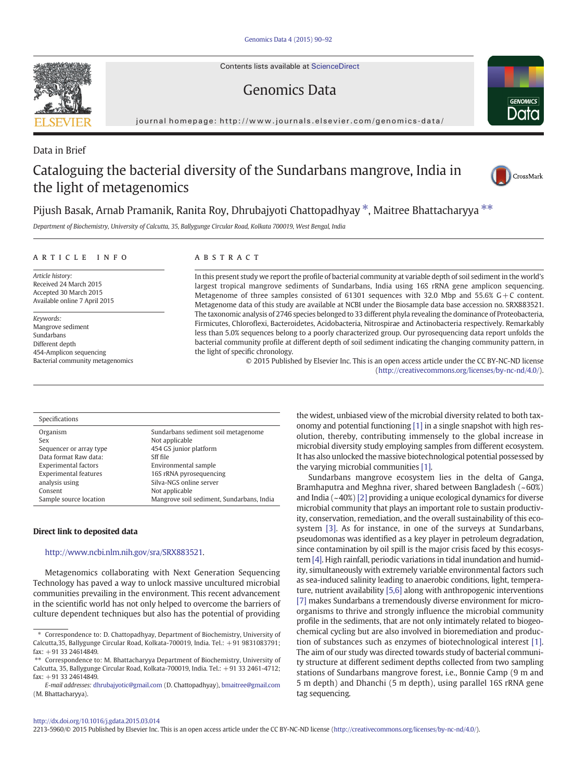Contents lists available at [ScienceDirect](http://www.sciencedirect.com/science/journal/22135960)

## Genomics Data



journal homepage: http://www.journals.elsevier.com/genomics-data/

### Data in Brief

# Cataloguing the bacterial diversity of the Sundarbans mangrove, India in the light of metagenomics



### Pijush Basak, Arnab Pramanik, Ranita Roy, Dhrubajyoti Chattopadhyay \*, Maitree Bhattacharyya \*\*

Department of Biochemistry, University of Calcutta, 35, Ballygunge Circular Road, Kolkata 700019, West Bengal, India

#### article info abstract

Article history: Received 24 March 2015 Accepted 30 March 2015 Available online 7 April 2015

Keywords: Mangrove sediment Sundarbans Different depth 454-Amplicon sequencing Bacterial community metagenomics In this present study we report the profile of bacterial community at variable depth of soil sediment in the world's largest tropical mangrove sediments of Sundarbans, India using 16S rRNA gene amplicon sequencing. Metagenome of three samples consisted of 61301 sequences with 32.0 Mbp and 55.6%  $G + C$  content. Metagenome data of this study are available at NCBI under the Biosample data base accession no. SRX883521. The taxonomic analysis of 2746 species belonged to 33 different phyla revealing the dominance of Proteobacteria, Firmicutes, Chloroflexi, Bacteroidetes, Acidobacteria, Nitrospirae and Actinobacteria respectively. Remarkably less than 5.0% sequences belong to a poorly characterized group. Our pyrosequencing data report unfolds the bacterial community profile at different depth of soil sediment indicating the changing community pattern, in the light of specific chronology.

> © 2015 Published by Elsevier Inc. This is an open access article under the CC BY-NC-ND license (<http://creativecommons.org/licenses/by-nc-nd/4.0/>).

#### Specifications Organism Sundarbans sediment soil metagenome Sex Not applicable Sequencer or array type 454 GS junior platform Data format Raw data: Sff file Experimental factors Environmental sample Experimental features 16S rRNA pyrosequencing analysis using states and Silva-NGS online server Consent Not applicable Sample source location Mangrove soil sediment, Sundarbans, India

#### Direct link to deposited data

### <http://www.ncbi.nlm.nih.gov/sra/SRX883521>.

Metagenomics collaborating with Next Generation Sequencing Technology has paved a way to unlock massive uncultured microbial communities prevailing in the environment. This recent advancement in the scientific world has not only helped to overcome the barriers of culture dependent techniques but also has the potential of providing

the widest, unbiased view of the microbial diversity related to both taxonomy and potential functioning [\[1\]](#page-2-0) in a single snapshot with high resolution, thereby, contributing immensely to the global increase in microbial diversity study employing samples from different ecosystem. It has also unlocked the massive biotechnological potential possessed by the varying microbial communities [\[1\].](#page-2-0)

Sundarbans mangrove ecosystem lies in the delta of Ganga, Bramhaputra and Meghna river, shared between Bangladesh (~60%) and India (~40%) [\[2\]](#page-2-0) providing a unique ecological dynamics for diverse microbial community that plays an important role to sustain productivity, conservation, remediation, and the overall sustainability of this ecosystem [\[3\].](#page-2-0) As for instance, in one of the surveys at Sundarbans, pseudomonas was identified as a key player in petroleum degradation, since contamination by oil spill is the major crisis faced by this ecosystem [\[4\]](#page-2-0). High rainfall, periodic variations in tidal inundation and humidity, simultaneously with extremely variable environmental factors such as sea-induced salinity leading to anaerobic conditions, light, temperature, nutrient availability [\[5,6\]](#page-2-0) along with anthropogenic interventions [\[7\]](#page-2-0) makes Sundarbans a tremendously diverse environment for microorganisms to thrive and strongly influence the microbial community profile in the sediments, that are not only intimately related to biogeochemical cycling but are also involved in bioremediation and production of substances such as enzymes of biotechnological interest [\[1\].](#page-2-0) The aim of our study was directed towards study of bacterial community structure at different sediment depths collected from two sampling stations of Sundarbans mangrove forest, i.e., Bonnie Camp (9 m and 5 m depth) and Dhanchi (5 m depth), using parallel 16S rRNA gene tag sequencing.

#### <http://dx.doi.org/10.1016/j.gdata.2015.03.014>

2213-5960/© 2015 Published by Elsevier Inc. This is an open access article under the CC BY-NC-ND license [\(http://creativecommons.org/licenses/by-nc-nd/4.0/](http://creativecommons.org/licenses/by-nc-nd/4.0/)).



<sup>⁎</sup> Correspondence to: D. Chattopadhyay, Department of Biochemistry, University of Calcutta,35, Ballygunge Circular Road, Kolkata-700019, India. Tel.: +91 9831083791;  $fax: +91 33 24614849$ 

<sup>⁎⁎</sup> Correspondence to: M. Bhattacharyya Department of Biochemistry, University of Calcutta, 35, Ballygunge Circular Road, Kolkata-700019, India. Tel.: +91 33 2461-4712; fax: +91 33 24614849.

E-mail addresses: [dhrubajyotic@gmail.com](mailto:dhrubajyotic@gmail.com) (D. Chattopadhyay), [bmaitree@gmail.com](mailto:bmaitree@gmail.com) (M. Bhattacharyya).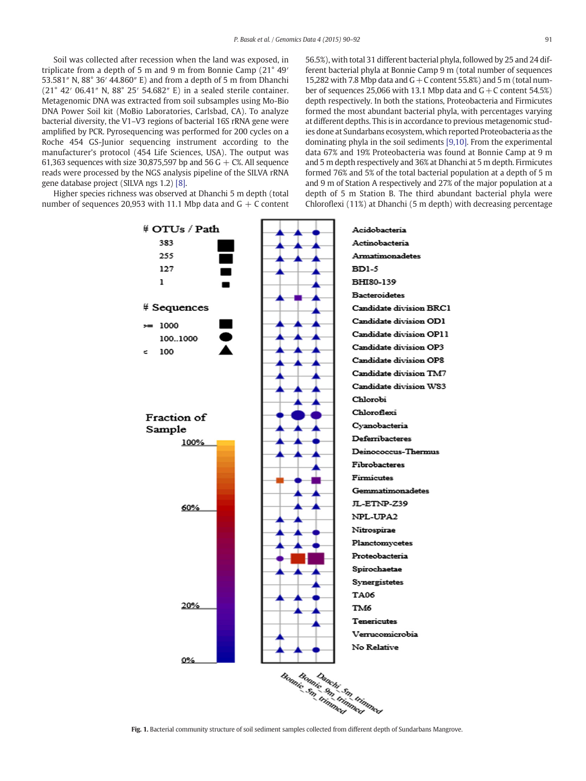<span id="page-1-0"></span>Soil was collected after recession when the land was exposed, in triplicate from a depth of 5 m and 9 m from Bonnie Camp (21° 49′ 53.581″ N, 88° 36′ 44.860″ E) and from a depth of 5 m from Dhanchi (21° 42′ 06.41″ N, 88° 25′ 54.682″ E) in a sealed sterile container. Metagenomic DNA was extracted from soil subsamples using Mo-Bio DNA Power Soil kit (MoBio Laboratories, Carlsbad, CA). To analyze bacterial diversity, the V1–V3 regions of bacterial 16S rRNA gene were amplified by PCR. Pyrosequencing was performed for 200 cycles on a Roche 454 GS-Junior sequencing instrument according to the manufacturer's protocol (454 Life Sciences, USA). The output was 61,363 sequences with size 30,875,597 bp and 56 G  $+$  C%. All sequence reads were processed by the NGS analysis pipeline of the SILVA rRNA gene database project (SILVA ngs 1.2) [\[8\]](#page-2-0).

Higher species richness was observed at Dhanchi 5 m depth (total number of sequences 20,953 with 11.1 Mbp data and  $G + C$  content

15,282 with 7.8 Mbp data and  $G + C$  content 55.8%) and 5 m (total number of sequences 25,066 with 13.1 Mbp data and  $G + C$  content 54.5%) depth respectively. In both the stations, Proteobacteria and Firmicutes formed the most abundant bacterial phyla, with percentages varying at different depths. This is in accordance to previous metagenomic studies done at Sundarbans ecosystem, which reported Proteobacteria as the dominating phyla in the soil sediments [\[9,10\].](#page-2-0) From the experimental data 67% and 19% Proteobacteria was found at Bonnie Camp at 9 m and 5 m depth respectively and 36% at Dhanchi at 5 m depth. Firmicutes formed 76% and 5% of the total bacterial population at a depth of 5 m and 9 m of Station A respectively and 27% of the major population at a depth of 5 m Station B. The third abundant bacterial phyla were Chloroflexi (11%) at Dhanchi (5 m depth) with decreasing percentage

56.5%), with total 31 different bacterial phyla, followed by 25 and 24 different bacterial phyla at Bonnie Camp 9 m (total number of sequences



Fig. 1. Bacterial community structure of soil sediment samples collected from different depth of Sundarbans Mangrove.